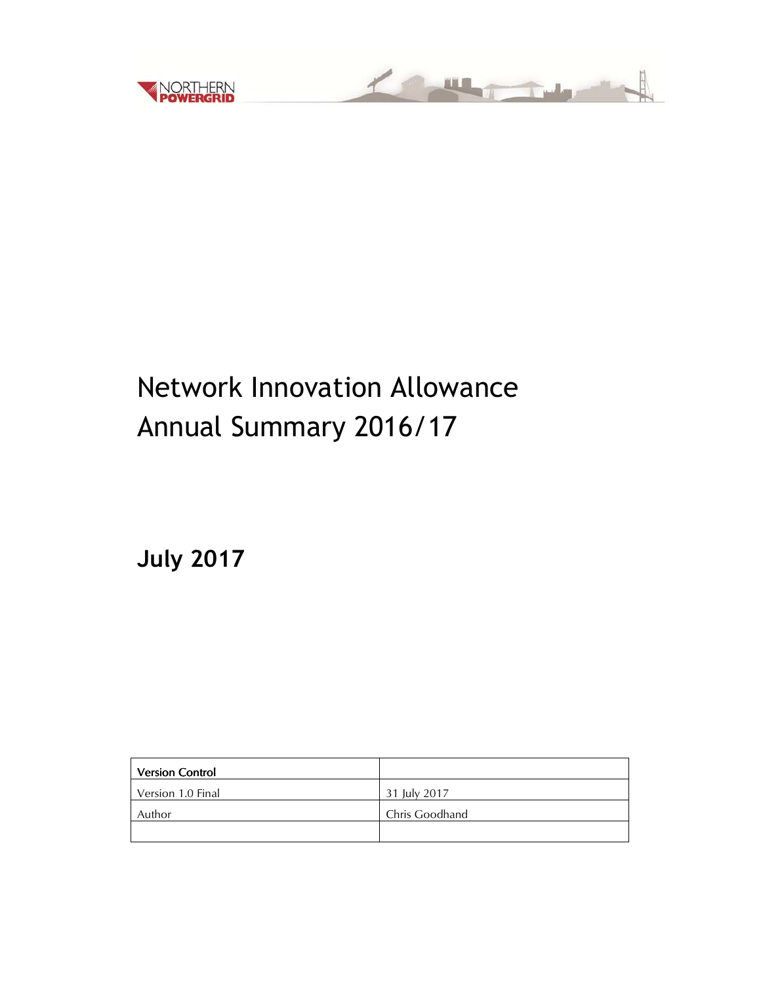

# <u> Martin Ballys</u>

# Network Innovation Allowance Annual Summary 2016/17

**July 2017**

| <b>Version Control</b> |                |
|------------------------|----------------|
| Version 1.0 Final      | 31 July 2017   |
| Author                 | Chris Goodhand |
|                        |                |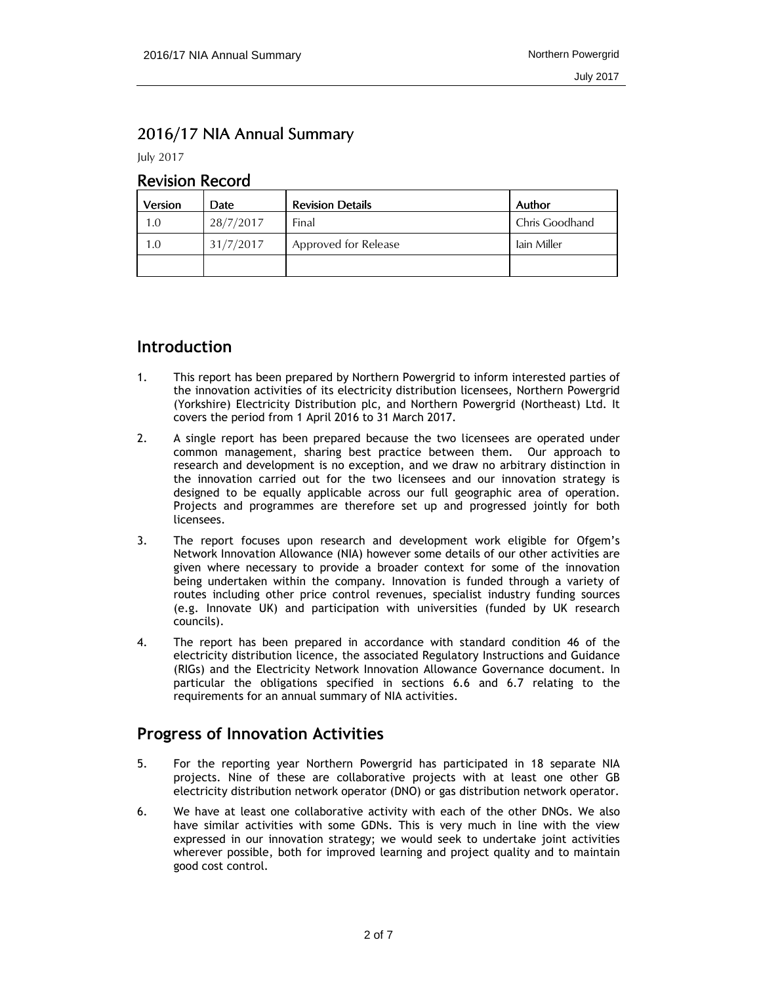#### 2016/17 NIA Annual Summary

July 2017

#### **Revision Record**

| Version | Date      | <b>Revision Details</b> | Author         |
|---------|-----------|-------------------------|----------------|
| 1.0     | 28/7/2017 | Final                   | Chris Goodhand |
| 1.0     | 31/7/2017 | Approved for Release    | lain Miller    |
|         |           |                         |                |

# **Introduction**

- 1. This report has been prepared by Northern Powergrid to inform interested parties of the innovation activities of its electricity distribution licensees, Northern Powergrid (Yorkshire) Electricity Distribution plc, and Northern Powergrid (Northeast) Ltd. It covers the period from 1 April 2016 to 31 March 2017.
- 2. A single report has been prepared because the two licensees are operated under common management, sharing best practice between them. Our approach to research and development is no exception, and we draw no arbitrary distinction in the innovation carried out for the two licensees and our innovation strategy is designed to be equally applicable across our full geographic area of operation. Projects and programmes are therefore set up and progressed jointly for both licensees.
- 3. The report focuses upon research and development work eligible for Ofgem's Network Innovation Allowance (NIA) however some details of our other activities are given where necessary to provide a broader context for some of the innovation being undertaken within the company. Innovation is funded through a variety of routes including other price control revenues, specialist industry funding sources (e.g. Innovate UK) and participation with universities (funded by UK research councils).
- 4. The report has been prepared in accordance with standard condition 46 of the electricity distribution licence, the associated Regulatory Instructions and Guidance (RIGs) and the Electricity Network Innovation Allowance Governance document. In particular the obligations specified in sections 6.6 and 6.7 relating to the requirements for an annual summary of NIA activities.

# **Progress of Innovation Activities**

- 5. For the reporting year Northern Powergrid has participated in 18 separate NIA projects. Nine of these are collaborative projects with at least one other GB electricity distribution network operator (DNO) or gas distribution network operator.
- 6. We have at least one collaborative activity with each of the other DNOs. We also have similar activities with some GDNs. This is very much in line with the view expressed in our innovation strategy; we would seek to undertake joint activities wherever possible, both for improved learning and project quality and to maintain good cost control.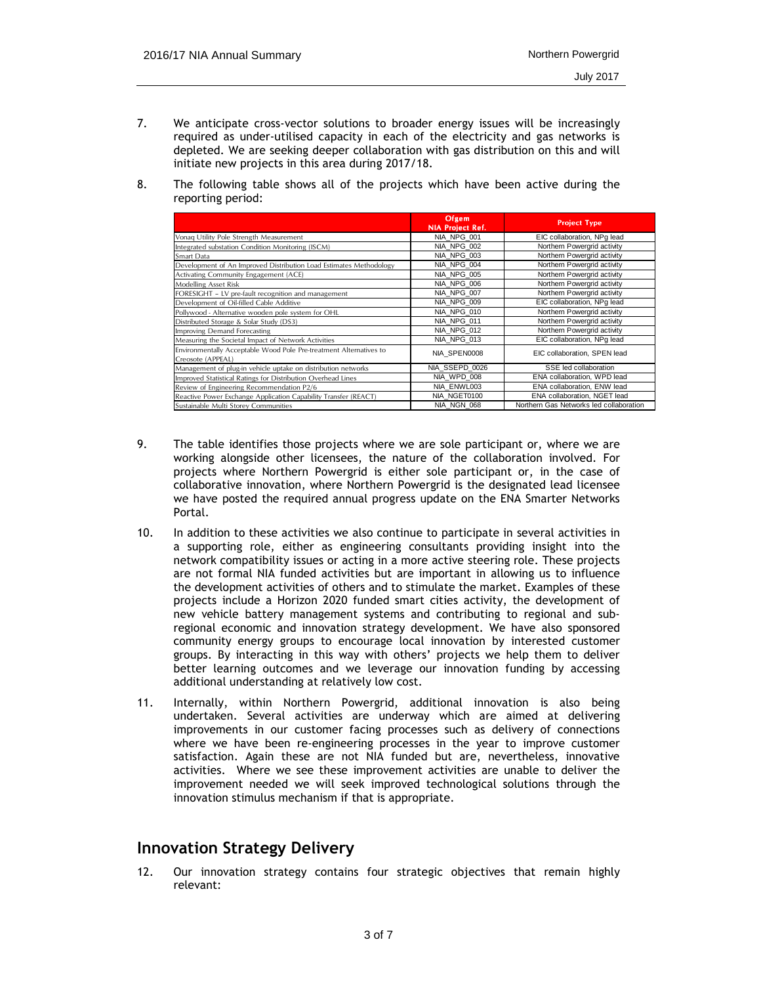- 7. We anticipate cross-vector solutions to broader energy issues will be increasingly required as under-utilised capacity in each of the electricity and gas networks is depleted. We are seeking deeper collaboration with gas distribution on this and will initiate new projects in this area during 2017/18.
- 8. The following table shows all of the projects which have been active during the reporting period:

|                                                                                         | Ofgem<br>NIA Project Ref. | <b>Project Type</b>                     |
|-----------------------------------------------------------------------------------------|---------------------------|-----------------------------------------|
| Vonag Utility Pole Strength Measurement                                                 | NIA NPG 001               | EIC collaboration, NPq lead             |
| Integrated substation Condition Monitoring (ISCM)                                       | NIA NPG 002               | Northern Powergrid activity             |
| Smart Data                                                                              | NIA NPG 003               | Northern Powergrid activity             |
| Development of An Improved Distribution Load Estimates Methodology                      | NIA NPG 004               | Northern Powergrid activity             |
| Activating Community Engagement (ACE)                                                   | NIA NPG 005               | Northern Powergrid activity             |
| Modelling Asset Risk                                                                    | NIA NPG 006               | Northern Powergrid activity             |
| FORESIGHT - LV pre-fault recognition and management                                     | NIA NPG 007               | Northern Powergrid activity             |
| Development of Oil-filled Cable Additive                                                | NIA NPG 009               | EIC collaboration, NPq lead             |
| Pollywood - Alternative wooden pole system for OHL                                      | NIA NPG 010               | Northern Powergrid activity             |
| Distributed Storage & Solar Study (DS3)                                                 | NIA NPG 011               | Northern Powergrid activity             |
| Improving Demand Forecasting                                                            | NIA NPG 012               | Northern Powergrid activity             |
| Measuring the Societal Impact of Network Activities                                     | NIA NPG 013               | EIC collaboration, NPq lead             |
| Environmentally Acceptable Wood Pole Pre-treatment Alternatives to<br>Creosote (APPEAL) | NIA SPEN0008              | EIC collaboration. SPEN lead            |
| Management of plug-in vehicle uptake on distribution networks                           | NIA SSEPD 0026            | SSE led collaboration                   |
| Improved Statistical Ratings for Distribution Overhead Lines                            | NIA WPD 008               | ENA collaboration, WPD lead             |
| Review of Engineering Recommendation P2/6                                               | NIA ENWL003               | ENA collaboration, ENW lead             |
| Reactive Power Exchange Application Capability Transfer (REACT)                         | NIA NGET0100              | ENA collaboration, NGET lead            |
| Sustainable Multi Storey Communities                                                    | NIA NGN 068               | Northern Gas Networks led collaboration |

- 9. The table identifies those projects where we are sole participant or, where we are working alongside other licensees, the nature of the collaboration involved. For projects where Northern Powergrid is either sole participant or, in the case of collaborative innovation, where Northern Powergrid is the designated lead licensee we have posted the required annual progress update on the ENA Smarter Networks Portal.
- 10. In addition to these activities we also continue to participate in several activities in a supporting role, either as engineering consultants providing insight into the network compatibility issues or acting in a more active steering role. These projects are not formal NIA funded activities but are important in allowing us to influence the development activities of others and to stimulate the market. Examples of these projects include a Horizon 2020 funded smart cities activity, the development of new vehicle battery management systems and contributing to regional and subregional economic and innovation strategy development. We have also sponsored community energy groups to encourage local innovation by interested customer groups. By interacting in this way with others' projects we help them to deliver better learning outcomes and we leverage our innovation funding by accessing additional understanding at relatively low cost.
- 11. Internally, within Northern Powergrid, additional innovation is also being undertaken. Several activities are underway which are aimed at delivering improvements in our customer facing processes such as delivery of connections where we have been re-engineering processes in the year to improve customer satisfaction. Again these are not NIA funded but are, nevertheless, innovative activities. Where we see these improvement activities are unable to deliver the improvement needed we will seek improved technological solutions through the innovation stimulus mechanism if that is appropriate.

#### **Innovation Strategy Delivery**

12. Our innovation strategy contains four strategic objectives that remain highly relevant: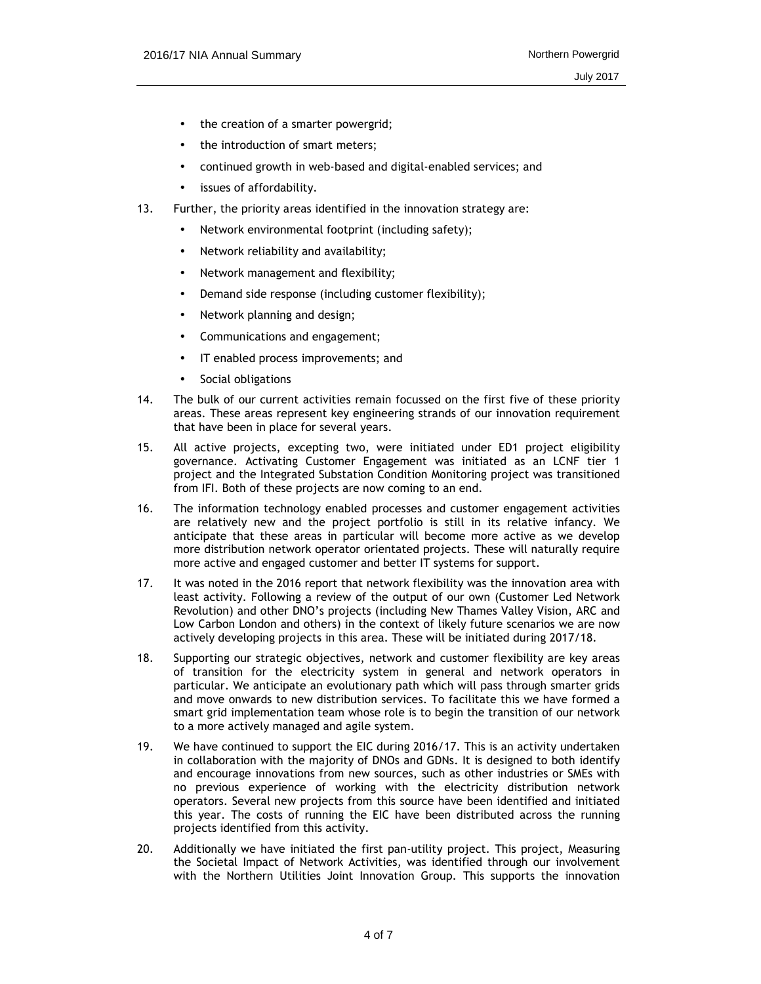- the creation of a smarter powergrid;
- the introduction of smart meters;
- continued growth in web-based and digital-enabled services; and
- issues of affordability.
- 13. Further, the priority areas identified in the innovation strategy are:
	- Network environmental footprint (including safety);
	- Network reliability and availability;
	- Network management and flexibility;
	- Demand side response (including customer flexibility);
	- Network planning and design;
	- Communications and engagement;
	- IT enabled process improvements; and
	- Social obligations
- 14. The bulk of our current activities remain focussed on the first five of these priority areas. These areas represent key engineering strands of our innovation requirement that have been in place for several years.
- 15. All active projects, excepting two, were initiated under ED1 project eligibility governance. Activating Customer Engagement was initiated as an LCNF tier 1 project and the Integrated Substation Condition Monitoring project was transitioned from IFI. Both of these projects are now coming to an end.
- 16. The information technology enabled processes and customer engagement activities are relatively new and the project portfolio is still in its relative infancy. We anticipate that these areas in particular will become more active as we develop more distribution network operator orientated projects. These will naturally require more active and engaged customer and better IT systems for support.
- 17. It was noted in the 2016 report that network flexibility was the innovation area with least activity. Following a review of the output of our own (Customer Led Network Revolution) and other DNO's projects (including New Thames Valley Vision, ARC and Low Carbon London and others) in the context of likely future scenarios we are now actively developing projects in this area. These will be initiated during 2017/18.
- 18. Supporting our strategic objectives, network and customer flexibility are key areas of transition for the electricity system in general and network operators in particular. We anticipate an evolutionary path which will pass through smarter grids and move onwards to new distribution services. To facilitate this we have formed a smart grid implementation team whose role is to begin the transition of our network to a more actively managed and agile system.
- 19. We have continued to support the EIC during 2016/17. This is an activity undertaken in collaboration with the majority of DNOs and GDNs. It is designed to both identify and encourage innovations from new sources, such as other industries or SMEs with no previous experience of working with the electricity distribution network operators. Several new projects from this source have been identified and initiated this year. The costs of running the EIC have been distributed across the running projects identified from this activity.
- 20. Additionally we have initiated the first pan-utility project. This project, Measuring the Societal Impact of Network Activities, was identified through our involvement with the Northern Utilities Joint Innovation Group. This supports the innovation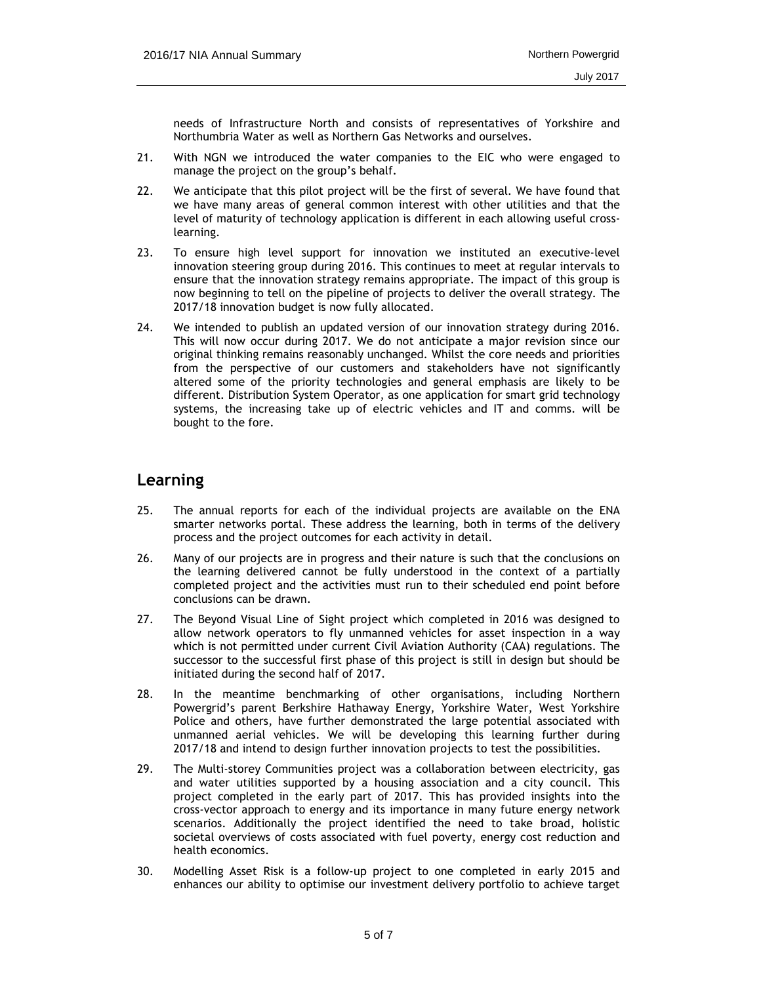needs of Infrastructure North and consists of representatives of Yorkshire and Northumbria Water as well as Northern Gas Networks and ourselves.

- 21. With NGN we introduced the water companies to the EIC who were engaged to manage the project on the group's behalf.
- 22. We anticipate that this pilot project will be the first of several. We have found that we have many areas of general common interest with other utilities and that the level of maturity of technology application is different in each allowing useful crosslearning.
- 23. To ensure high level support for innovation we instituted an executive-level innovation steering group during 2016. This continues to meet at regular intervals to ensure that the innovation strategy remains appropriate. The impact of this group is now beginning to tell on the pipeline of projects to deliver the overall strategy. The 2017/18 innovation budget is now fully allocated.
- 24. We intended to publish an updated version of our innovation strategy during 2016. This will now occur during 2017. We do not anticipate a major revision since our original thinking remains reasonably unchanged. Whilst the core needs and priorities from the perspective of our customers and stakeholders have not significantly altered some of the priority technologies and general emphasis are likely to be different. Distribution System Operator, as one application for smart grid technology systems, the increasing take up of electric vehicles and IT and comms. will be bought to the fore.

#### **Learning**

- 25. The annual reports for each of the individual projects are available on the ENA smarter networks portal. These address the learning, both in terms of the delivery process and the project outcomes for each activity in detail.
- 26. Many of our projects are in progress and their nature is such that the conclusions on the learning delivered cannot be fully understood in the context of a partially completed project and the activities must run to their scheduled end point before conclusions can be drawn.
- 27. The Beyond Visual Line of Sight project which completed in 2016 was designed to allow network operators to fly unmanned vehicles for asset inspection in a way which is not permitted under current Civil Aviation Authority (CAA) regulations. The successor to the successful first phase of this project is still in design but should be initiated during the second half of 2017.
- 28. In the meantime benchmarking of other organisations, including Northern Powergrid's parent Berkshire Hathaway Energy, Yorkshire Water, West Yorkshire Police and others, have further demonstrated the large potential associated with unmanned aerial vehicles. We will be developing this learning further during 2017/18 and intend to design further innovation projects to test the possibilities.
- 29. The Multi-storey Communities project was a collaboration between electricity, gas and water utilities supported by a housing association and a city council. This project completed in the early part of 2017. This has provided insights into the cross-vector approach to energy and its importance in many future energy network scenarios. Additionally the project identified the need to take broad, holistic societal overviews of costs associated with fuel poverty, energy cost reduction and health economics.
- 30. Modelling Asset Risk is a follow-up project to one completed in early 2015 and enhances our ability to optimise our investment delivery portfolio to achieve target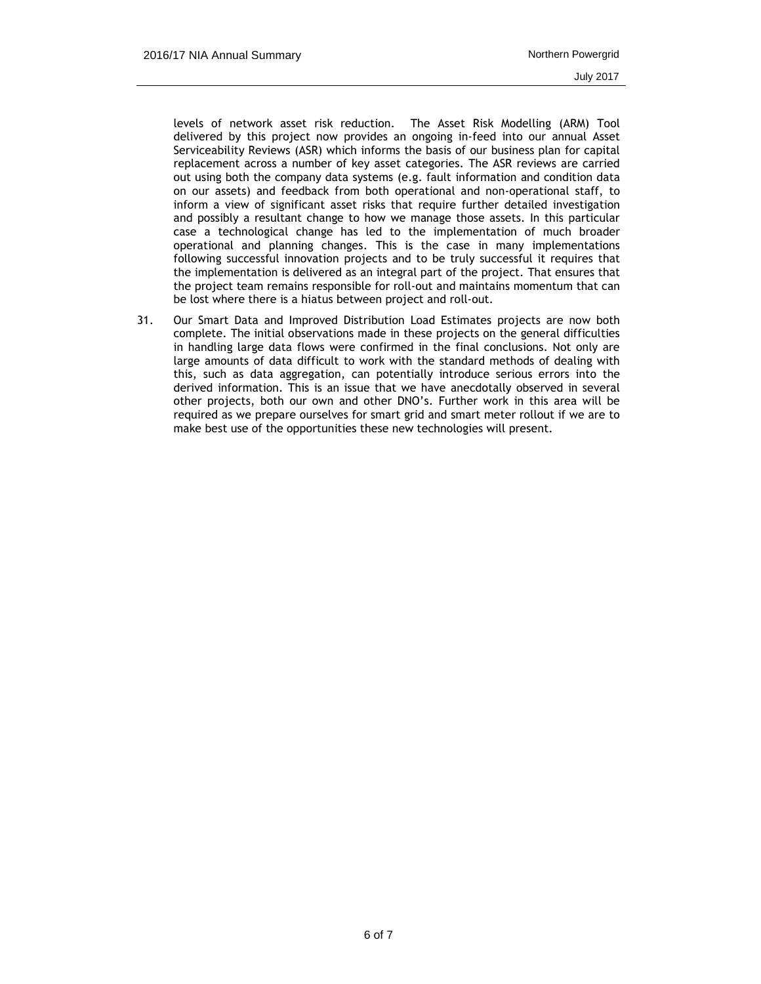levels of network asset risk reduction. The Asset Risk Modelling (ARM) Tool delivered by this project now provides an ongoing in-feed into our annual Asset Serviceability Reviews (ASR) which informs the basis of our business plan for capital replacement across a number of key asset categories. The ASR reviews are carried out using both the company data systems (e.g. fault information and condition data on our assets) and feedback from both operational and non-operational staff, to inform a view of significant asset risks that require further detailed investigation and possibly a resultant change to how we manage those assets. In this particular case a technological change has led to the implementation of much broader operational and planning changes. This is the case in many implementations following successful innovation projects and to be truly successful it requires that the implementation is delivered as an integral part of the project. That ensures that the project team remains responsible for roll-out and maintains momentum that can be lost where there is a hiatus between project and roll-out.

31. Our Smart Data and Improved Distribution Load Estimates projects are now both complete. The initial observations made in these projects on the general difficulties in handling large data flows were confirmed in the final conclusions. Not only are large amounts of data difficult to work with the standard methods of dealing with this, such as data aggregation, can potentially introduce serious errors into the derived information. This is an issue that we have anecdotally observed in several other projects, both our own and other DNO's. Further work in this area will be required as we prepare ourselves for smart grid and smart meter rollout if we are to make best use of the opportunities these new technologies will present.